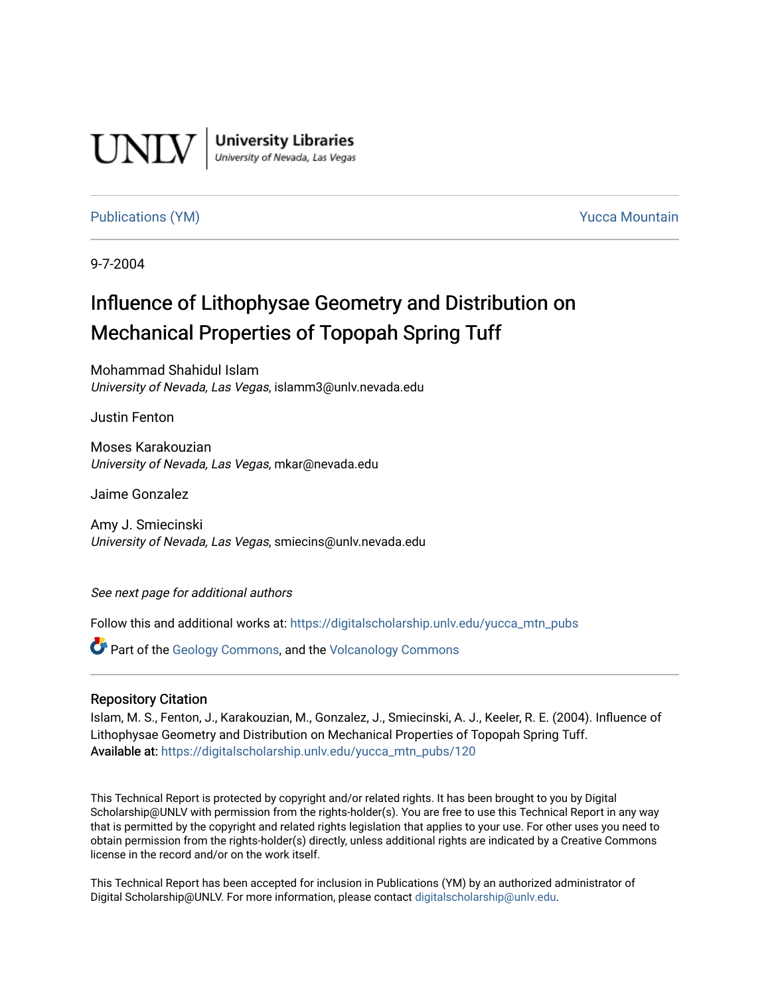

**University Libraries**<br>University of Nevada, Las Vegas

## [Publications \(YM\)](https://digitalscholarship.unlv.edu/yucca_mtn_pubs) **Publications (YM) Publications (YM) Publications** (*YM*)

9-7-2004

# Influence of Lithophysae Geometry and Distribution on Mechanical Properties of Topopah Spring Tuff

Mohammad Shahidul Islam University of Nevada, Las Vegas, islamm3@unlv.nevada.edu

Justin Fenton

Moses Karakouzian University of Nevada, Las Vegas, mkar@nevada.edu

Jaime Gonzalez

Amy J. Smiecinski University of Nevada, Las Vegas, smiecins@unlv.nevada.edu

See next page for additional authors

Follow this and additional works at: [https://digitalscholarship.unlv.edu/yucca\\_mtn\\_pubs](https://digitalscholarship.unlv.edu/yucca_mtn_pubs?utm_source=digitalscholarship.unlv.edu%2Fyucca_mtn_pubs%2F120&utm_medium=PDF&utm_campaign=PDFCoverPages)

Part of the [Geology Commons](http://network.bepress.com/hgg/discipline/156?utm_source=digitalscholarship.unlv.edu%2Fyucca_mtn_pubs%2F120&utm_medium=PDF&utm_campaign=PDFCoverPages), and the [Volcanology Commons](http://network.bepress.com/hgg/discipline/165?utm_source=digitalscholarship.unlv.edu%2Fyucca_mtn_pubs%2F120&utm_medium=PDF&utm_campaign=PDFCoverPages)

#### Repository Citation

Islam, M. S., Fenton, J., Karakouzian, M., Gonzalez, J., Smiecinski, A. J., Keeler, R. E. (2004). Influence of Lithophysae Geometry and Distribution on Mechanical Properties of Topopah Spring Tuff. Available at: [https://digitalscholarship.unlv.edu/yucca\\_mtn\\_pubs/120](https://digitalscholarship.unlv.edu/yucca_mtn_pubs/120) 

This Technical Report is protected by copyright and/or related rights. It has been brought to you by Digital Scholarship@UNLV with permission from the rights-holder(s). You are free to use this Technical Report in any way that is permitted by the copyright and related rights legislation that applies to your use. For other uses you need to obtain permission from the rights-holder(s) directly, unless additional rights are indicated by a Creative Commons license in the record and/or on the work itself.

This Technical Report has been accepted for inclusion in Publications (YM) by an authorized administrator of Digital Scholarship@UNLV. For more information, please contact [digitalscholarship@unlv.edu](mailto:digitalscholarship@unlv.edu).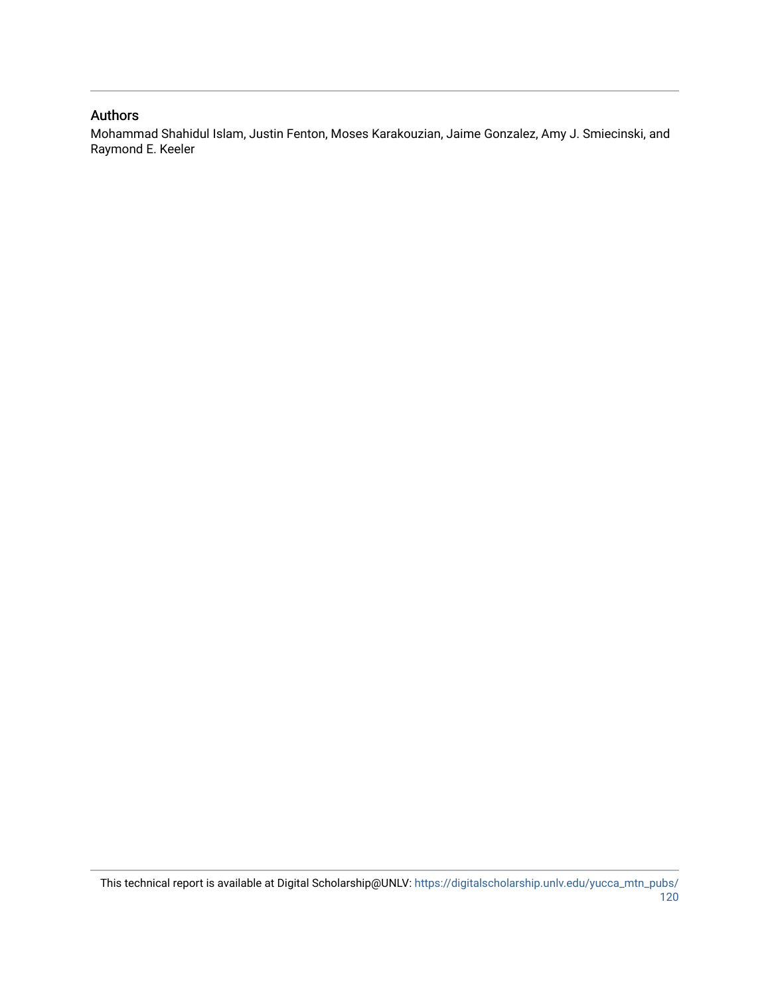#### Authors

Mohammad Shahidul Islam, Justin Fenton, Moses Karakouzian, Jaime Gonzalez, Amy J. Smiecinski, and Raymond E. Keeler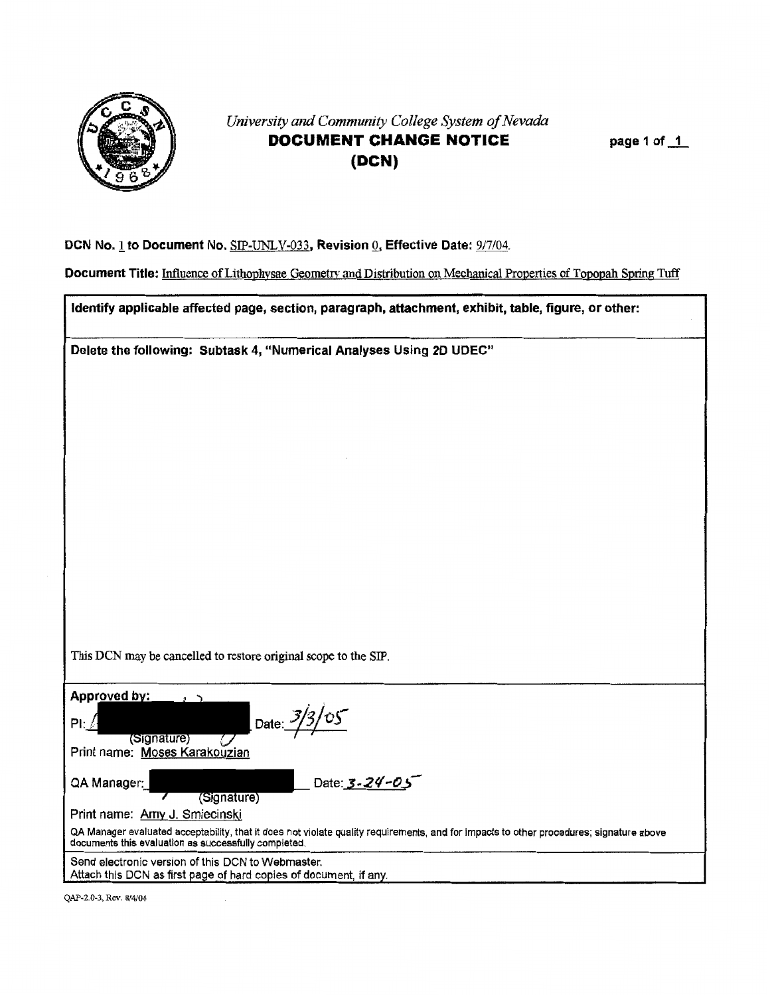

# *University and Community College System of Nevada*  **DOCUMENT CHANGE NOTICE (DCN)**

**page 1 of\_1\_** 

#### **DCN No.! to Document No.** SIP-UNLV-033, **Revision Qj Effective Date:** 9/7104.

**Document Title:** Influence of Lithophysae Geometry and Distribution on Mechanical Properties of Topopah Spring Tuff

**Identify applicable affected page, section, paragraph, attachment, exhibit, table, figure, or other:** 

**Delete the following: Subtask 4, "Numerical Analyses Using 20 UDEC"** 

This DCN may be cancelled to restore original scope to the SIP.

| Approved by:<br>Date: $3/3/05$<br>PI: $\sqrt{2}$<br>(Signature)<br>Print name: Moses Karakouzian                                                                                                |
|-------------------------------------------------------------------------------------------------------------------------------------------------------------------------------------------------|
| Date: 3-24-05<br>QA Manager:<br>(Signature)<br>Print name: Amy J. Smiecinski                                                                                                                    |
| QA Manager evaluated acceptability, that it does not violate quality requirements, and for impacts to other procedures; signature above<br>documents this evaluation as successfully completed. |
| Send electronic version of this DCN to Webmaster.<br>Attach this DCN as first page of hard copies of document, if any.                                                                          |
|                                                                                                                                                                                                 |

QAP-2.0-3, Rev. 8/4/04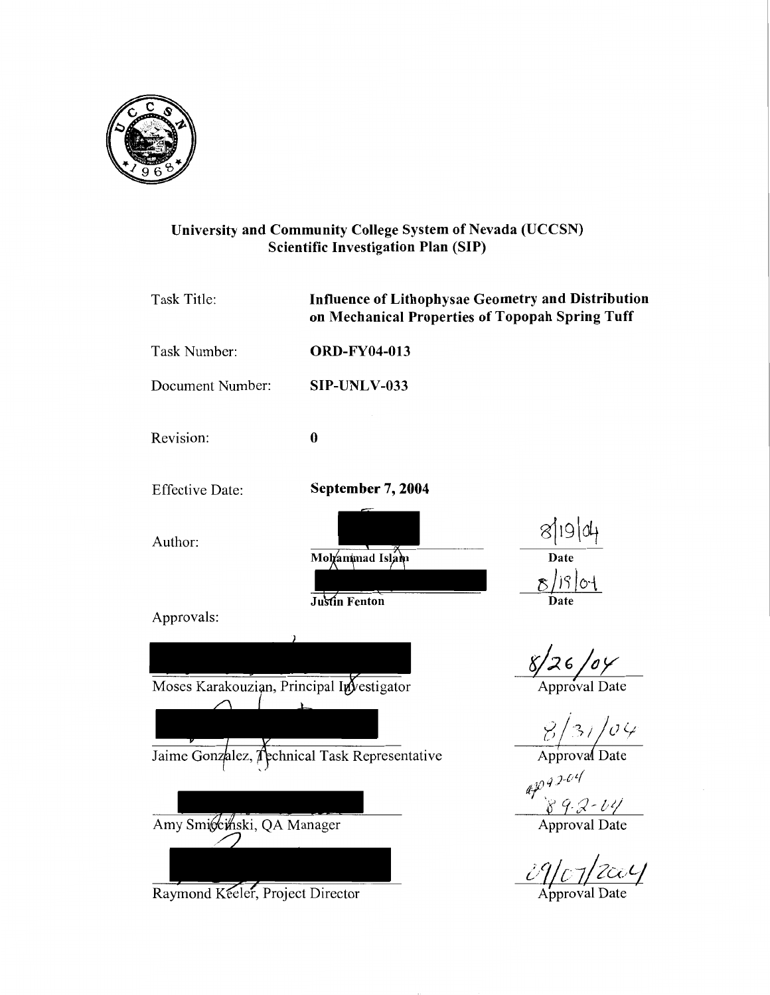

# University and Community College System of Nevada (UCCSN) Scientific Investigation Plan (SIP)

| Task Title:                               | <b>Influence of Lithophysae Geometry and Distribution</b><br>on Mechanical Properties of Topopah Spring Tuff |                                   |  |
|-------------------------------------------|--------------------------------------------------------------------------------------------------------------|-----------------------------------|--|
| Task Number:                              | <b>ORD-FY04-013</b>                                                                                          |                                   |  |
| Document Number:                          | SIP-UNLV-033                                                                                                 |                                   |  |
| Revision:                                 | $\bf{0}$                                                                                                     |                                   |  |
| <b>Effective Date:</b>                    | September 7, 2004                                                                                            |                                   |  |
| Author:                                   | Mohammad Islam<br>Justin Fenton                                                                              | 8 19 04<br>$8/19$ of              |  |
| Approvals:                                |                                                                                                              |                                   |  |
| Moses Karakouzian, Principal Investigator |                                                                                                              | 8/26/6                            |  |
|                                           |                                                                                                              | $\frac{\frac{8}{3}}{\frac{8}{3}}$ |  |
|                                           | Jaime Gonzalez, <i>(</i> pchnical Task Representative                                                        |                                   |  |
|                                           |                                                                                                              | $47.3 - 04$<br>89.2-04            |  |
| Amy Smiccinski, QA Manager                |                                                                                                              | <b>Approval Date</b>              |  |
| Raymond Keeler, Project Director          |                                                                                                              |                                   |  |
|                                           |                                                                                                              |                                   |  |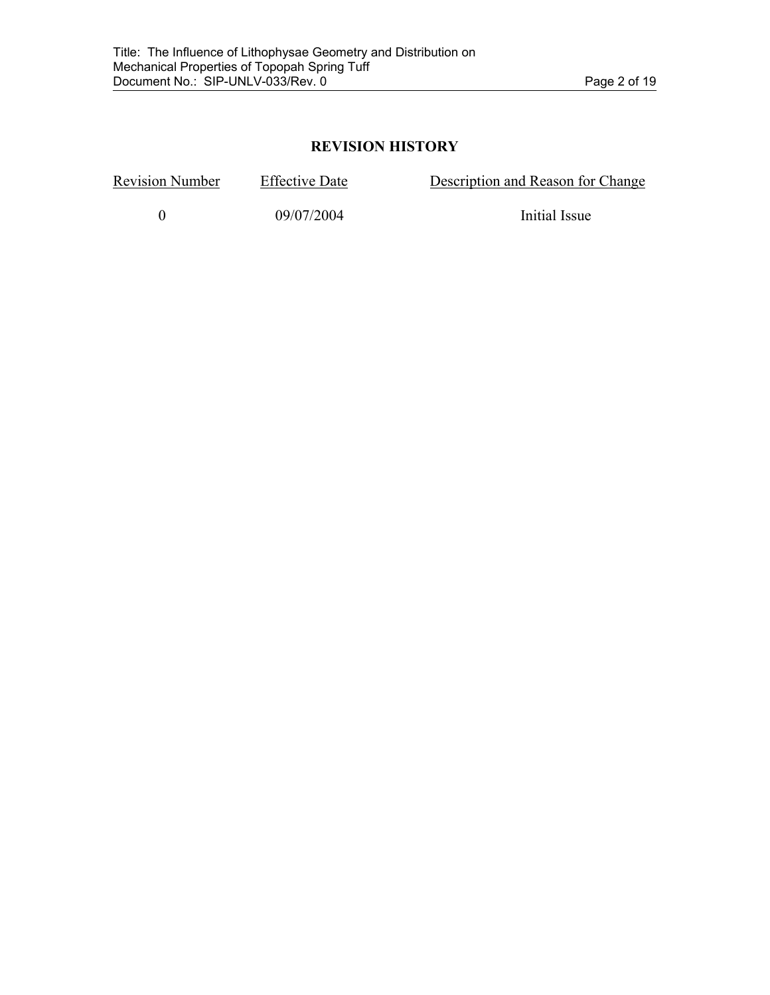# **REVISION HISTORY**

Revision Number Effective Date Description and Reason for Change

0 09/07/2004 Initial Issue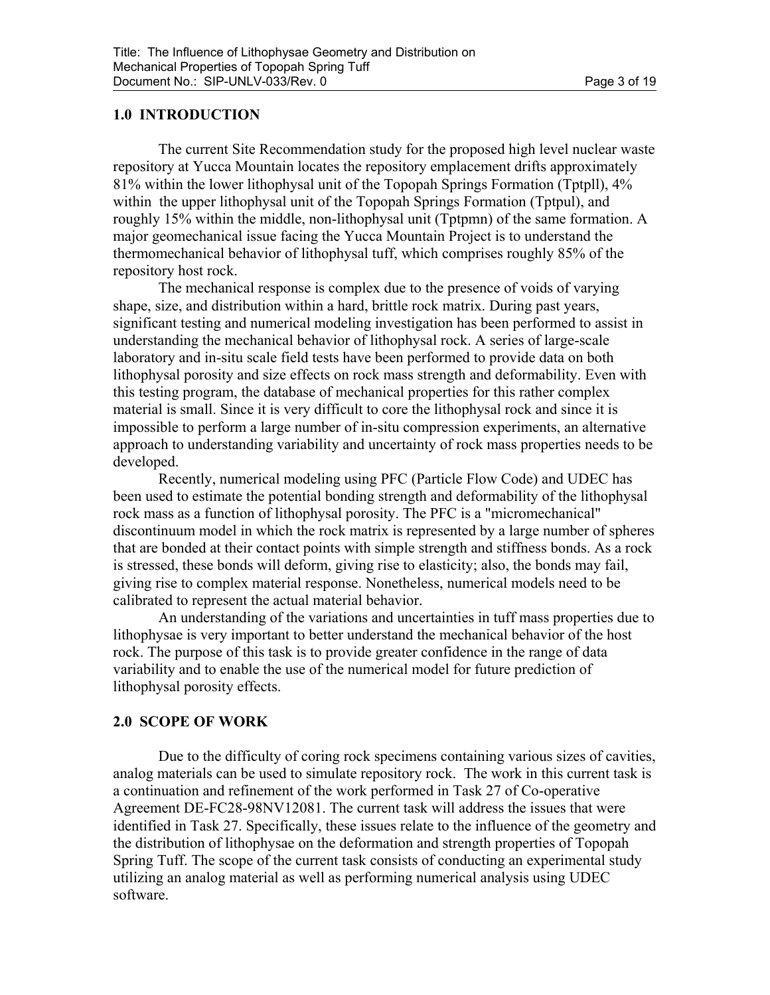## **1.0 INTRODUCTION**

 The current Site Recommendation study for the proposed high level nuclear waste repository at Yucca Mountain locates the repository emplacement drifts approximately 81% within the lower lithophysal unit of the Topopah Springs Formation (Tptpll), 4% within the upper lithophysal unit of the Topopah Springs Formation (Tptpul), and roughly 15% within the middle, non-lithophysal unit (Tptpmn) of the same formation. A major geomechanical issue facing the Yucca Mountain Project is to understand the thermomechanical behavior of lithophysal tuff, which comprises roughly 85% of the repository host rock.

The mechanical response is complex due to the presence of voids of varying shape, size, and distribution within a hard, brittle rock matrix. During past years, significant testing and numerical modeling investigation has been performed to assist in understanding the mechanical behavior of lithophysal rock. A series of large-scale laboratory and in-situ scale field tests have been performed to provide data on both lithophysal porosity and size effects on rock mass strength and deformability. Even with this testing program, the database of mechanical properties for this rather complex material is small. Since it is very difficult to core the lithophysal rock and since it is impossible to perform a large number of in-situ compression experiments, an alternative approach to understanding variability and uncertainty of rock mass properties needs to be developed.

Recently, numerical modeling using PFC (Particle Flow Code) and UDEC has been used to estimate the potential bonding strength and deformability of the lithophysal rock mass as a function of lithophysal porosity. The PFC is a "micromechanical" discontinuum model in which the rock matrix is represented by a large number of spheres that are bonded at their contact points with simple strength and stiffness bonds. As a rock is stressed, these bonds will deform, giving rise to elasticity; also, the bonds may fail, giving rise to complex material response. Nonetheless, numerical models need to be calibrated to represent the actual material behavior.

An understanding of the variations and uncertainties in tuff mass properties due to lithophysae is very important to better understand the mechanical behavior of the host rock. The purpose of this task is to provide greater confidence in the range of data variability and to enable the use of the numerical model for future prediction of lithophysal porosity effects.

## **2.0 SCOPE OF WORK**

Due to the difficulty of coring rock specimens containing various sizes of cavities, analog materials can be used to simulate repository rock. The work in this current task is a continuation and refinement of the work performed in Task 27 of Co-operative Agreement DE-FC28-98NV12081. The current task will address the issues that were identified in Task 27. Specifically, these issues relate to the influence of the geometry and the distribution of lithophysae on the deformation and strength properties of Topopah Spring Tuff. The scope of the current task consists of conducting an experimental study utilizing an analog material as well as performing numerical analysis using UDEC software.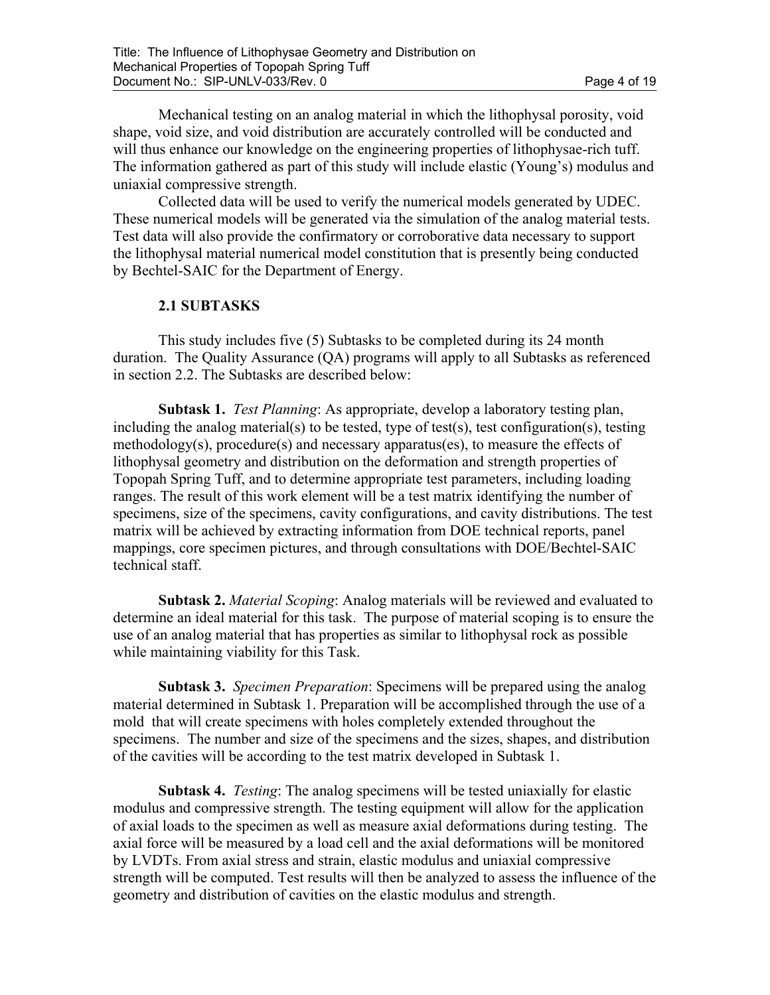Mechanical testing on an analog material in which the lithophysal porosity, void shape, void size, and void distribution are accurately controlled will be conducted and will thus enhance our knowledge on the engineering properties of lithophysae-rich tuff. The information gathered as part of this study will include elastic (Young's) modulus and uniaxial compressive strength.

Collected data will be used to verify the numerical models generated by UDEC. These numerical models will be generated via the simulation of the analog material tests. Test data will also provide the confirmatory or corroborative data necessary to support the lithophysal material numerical model constitution that is presently being conducted by Bechtel-SAIC for the Department of Energy.

#### **2.1 SUBTASKS**

This study includes five (5) Subtasks to be completed during its 24 month duration. The Quality Assurance (QA) programs will apply to all Subtasks as referenced in section 2.2. The Subtasks are described below:

**Subtask 1.** *Test Planning*: As appropriate, develop a laboratory testing plan, including the analog material(s) to be tested, type of test(s), test configuration(s), testing methodology(s), procedure(s) and necessary apparatus(es), to measure the effects of lithophysal geometry and distribution on the deformation and strength properties of Topopah Spring Tuff, and to determine appropriate test parameters, including loading ranges. The result of this work element will be a test matrix identifying the number of specimens, size of the specimens, cavity configurations, and cavity distributions. The test matrix will be achieved by extracting information from DOE technical reports, panel mappings, core specimen pictures, and through consultations with DOE/Bechtel-SAIC technical staff.

 **Subtask 2.** *Material Scoping*: Analog materials will be reviewed and evaluated to determine an ideal material for this task. The purpose of material scoping is to ensure the use of an analog material that has properties as similar to lithophysal rock as possible while maintaining viability for this Task.

 **Subtask 3.** *Specimen Preparation*: Specimens will be prepared using the analog material determined in Subtask 1. Preparation will be accomplished through the use of a mold that will create specimens with holes completely extended throughout the specimens. The number and size of the specimens and the sizes, shapes, and distribution of the cavities will be according to the test matrix developed in Subtask 1.

 **Subtask 4.** *Testing*: The analog specimens will be tested uniaxially for elastic modulus and compressive strength. The testing equipment will allow for the application of axial loads to the specimen as well as measure axial deformations during testing. The axial force will be measured by a load cell and the axial deformations will be monitored by LVDTs. From axial stress and strain, elastic modulus and uniaxial compressive strength will be computed. Test results will then be analyzed to assess the influence of the geometry and distribution of cavities on the elastic modulus and strength.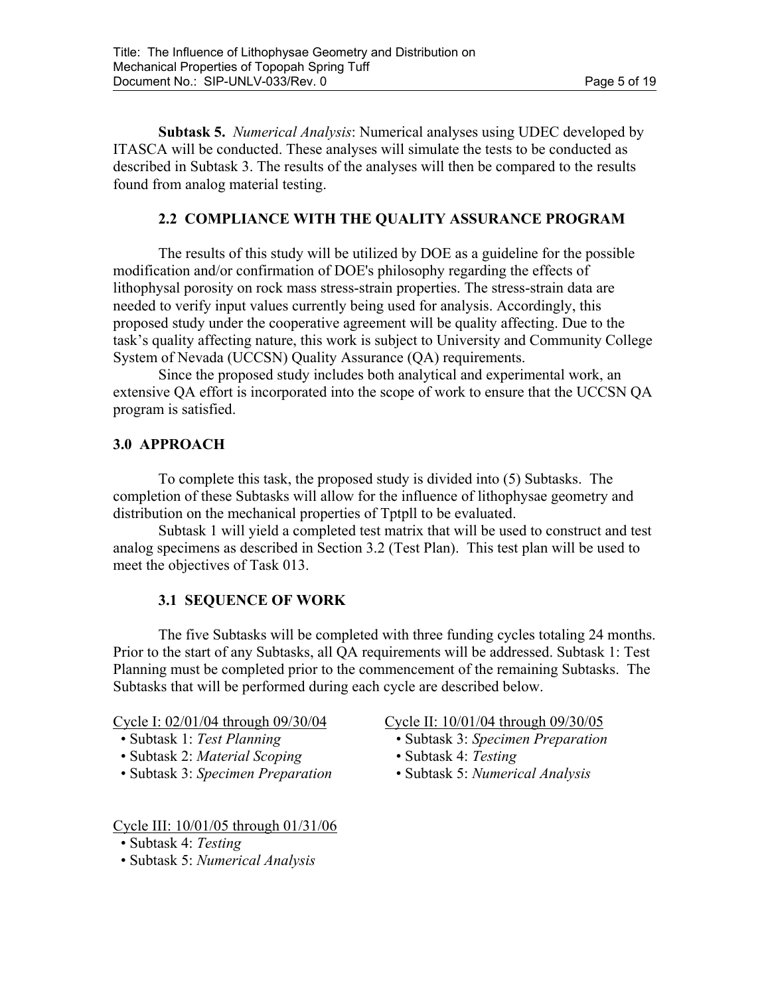**Subtask 5.** *Numerical Analysis*: Numerical analyses using UDEC developed by ITASCA will be conducted. These analyses will simulate the tests to be conducted as described in Subtask 3. The results of the analyses will then be compared to the results found from analog material testing.

## **2.2 COMPLIANCE WITH THE QUALITY ASSURANCE PROGRAM**

The results of this study will be utilized by DOE as a guideline for the possible modification and/or confirmation of DOE's philosophy regarding the effects of lithophysal porosity on rock mass stress-strain properties. The stress-strain data are needed to verify input values currently being used for analysis. Accordingly, this proposed study under the cooperative agreement will be quality affecting. Due to the task's quality affecting nature, this work is subject to University and Community College System of Nevada (UCCSN) Quality Assurance (QA) requirements.

Since the proposed study includes both analytical and experimental work, an extensive QA effort is incorporated into the scope of work to ensure that the UCCSN QA program is satisfied.

## **3.0 APPROACH**

To complete this task, the proposed study is divided into (5) Subtasks. The completion of these Subtasks will allow for the influence of lithophysae geometry and distribution on the mechanical properties of Tptpll to be evaluated.

 Subtask 1 will yield a completed test matrix that will be used to construct and test analog specimens as described in Section 3.2 (Test Plan). This test plan will be used to meet the objectives of Task 013.

## **3.1 SEQUENCE OF WORK**

The five Subtasks will be completed with three funding cycles totaling 24 months. Prior to the start of any Subtasks, all QA requirements will be addressed. Subtask 1: Test Planning must be completed prior to the commencement of the remaining Subtasks. The Subtasks that will be performed during each cycle are described below.

Cycle I: 02/01/04 through 09/30/04 Cycle II: 10/01/04 through 09/30/05

- 
- Subtask 2: *Material Scoping*  Subtask 4: *Testing*
- Subtask 3: *Specimen Preparation*  Subtask 5: *Numerical Analysis*

Cycle III: 10/01/05 through 01/31/06

• Subtask 5: *Numerical Analysis*

- Subtask 1: *Test Planning* Subtask 3: *Specimen Preparation* 
	-
	-

 <sup>•</sup> Subtask 4: *Testing*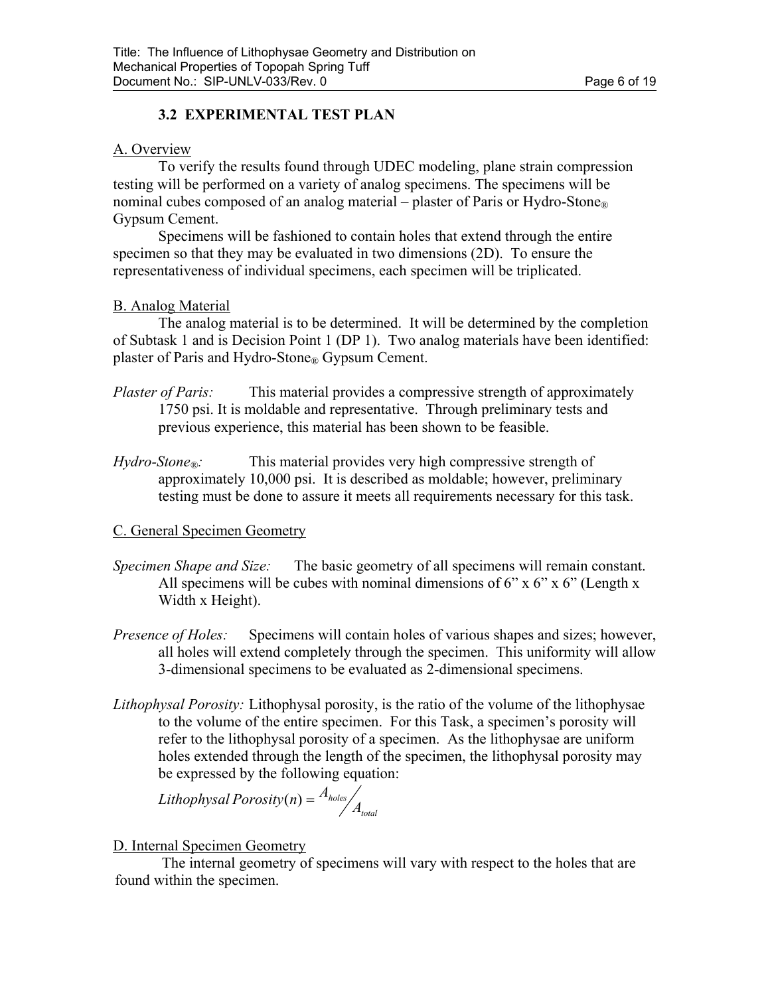# **3.2 EXPERIMENTAL TEST PLAN**

## A. Overview

To verify the results found through UDEC modeling, plane strain compression testing will be performed on a variety of analog specimens. The specimens will be nominal cubes composed of an analog material – plaster of Paris or Hydro-Stone<sup>®</sup> Gypsum Cement.

Specimens will be fashioned to contain holes that extend through the entire specimen so that they may be evaluated in two dimensions (2D). To ensure the representativeness of individual specimens, each specimen will be triplicated.

## B. Analog Material

The analog material is to be determined. It will be determined by the completion of Subtask 1 and is Decision Point 1 (DP 1). Two analog materials have been identified: plaster of Paris and Hydro-Stone® Gypsum Cement.

- *Plaster of Paris:* This material provides a compressive strength of approximately 1750 psi. It is moldable and representative. Through preliminary tests and previous experience, this material has been shown to be feasible.
- *Hydro-Stone*<sup>®</sup>: This material provides very high compressive strength of approximately 10,000 psi. It is described as moldable; however, preliminary testing must be done to assure it meets all requirements necessary for this task.

# C. General Specimen Geometry

- *Specimen Shape and Size:* The basic geometry of all specimens will remain constant. All specimens will be cubes with nominal dimensions of  $6"$  x  $6"$  x  $6"$  (Length x Width x Height).
- *Presence of Holes:* Specimens will contain holes of various shapes and sizes; however, all holes will extend completely through the specimen. This uniformity will allow 3-dimensional specimens to be evaluated as 2-dimensional specimens.
- *Lithophysal Porosity:* Lithophysal porosity, is the ratio of the volume of the lithophysae to the volume of the entire specimen. For this Task, a specimen's porosity will refer to the lithophysal porosity of a specimen. As the lithophysae are uniform holes extended through the length of the specimen, the lithophysal porosity may be expressed by the following equation:

*Lithophysal total*  $\text{Porosity}(n) = \frac{A_{\text{holes}}}{A_{\text{total}}}$ 

# D. Internal Specimen Geometry

The internal geometry of specimens will vary with respect to the holes that are found within the specimen.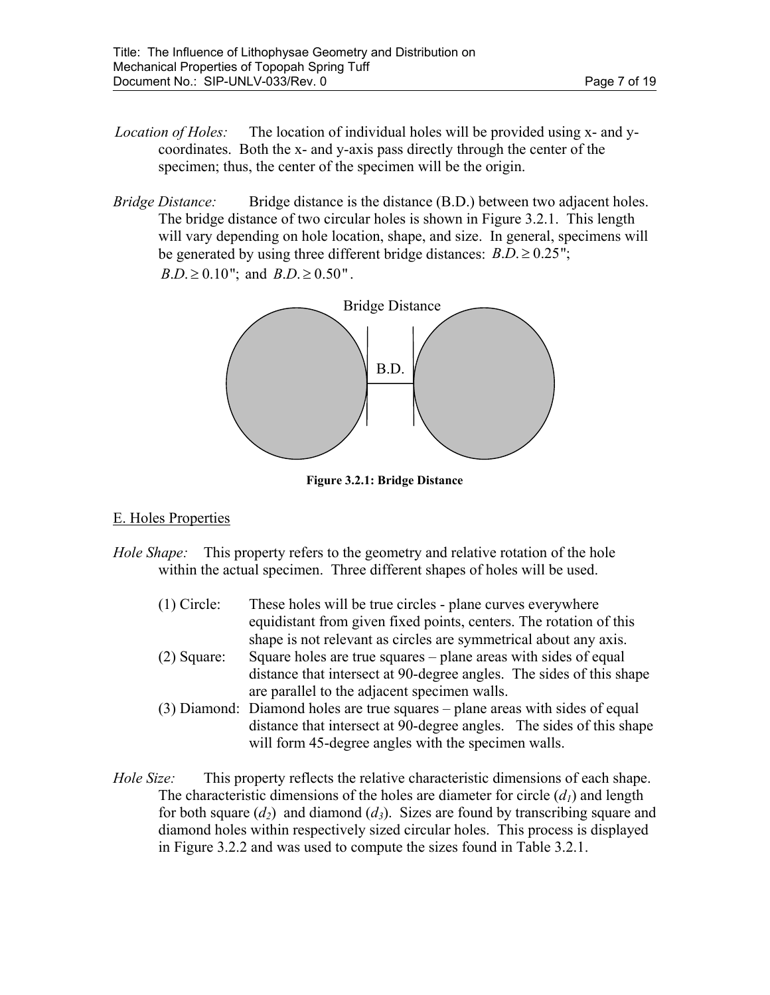- *Location of Holes:* The location of individual holes will be provided using x- and ycoordinates. Both the x- and y-axis pass directly through the center of the specimen; thus, the center of the specimen will be the origin.
- *Bridge Distance:* Bridge distance is the distance (B.D.) between two adjacent holes. The bridge distance of two circular holes is shown in Figure 3.2.1. This length will vary depending on hole location, shape, and size. In general, specimens will be generated by using three different bridge distances:  $B.D. \geq 0.25$ ";  $B.D. \ge 0.10$ "; and  $B.D. \ge 0.50$ ".



**Figure 3.2.1: Bridge Distance** 

## E. Holes Properties

- *Hole Shape:* This property refers to the geometry and relative rotation of the hole within the actual specimen. Three different shapes of holes will be used.
	- (1) Circle: These holes will be true circles plane curves everywhere equidistant from given fixed points, centers. The rotation of this shape is not relevant as circles are symmetrical about any axis.
	- (2) Square: Square holes are true squares plane areas with sides of equal distance that intersect at 90-degree angles. The sides of this shape are parallel to the adjacent specimen walls.
	- (3) Diamond: Diamond holes are true squares plane areas with sides of equal distance that intersect at 90-degree angles. The sides of this shape will form 45-degree angles with the specimen walls.
- *Hole Size:* This property reflects the relative characteristic dimensions of each shape. The characteristic dimensions of the holes are diameter for circle  $(d<sub>l</sub>)$  and length for both square  $(d_2)$  and diamond  $(d_3)$ . Sizes are found by transcribing square and diamond holes within respectively sized circular holes. This process is displayed in Figure 3.2.2 and was used to compute the sizes found in Table 3.2.1.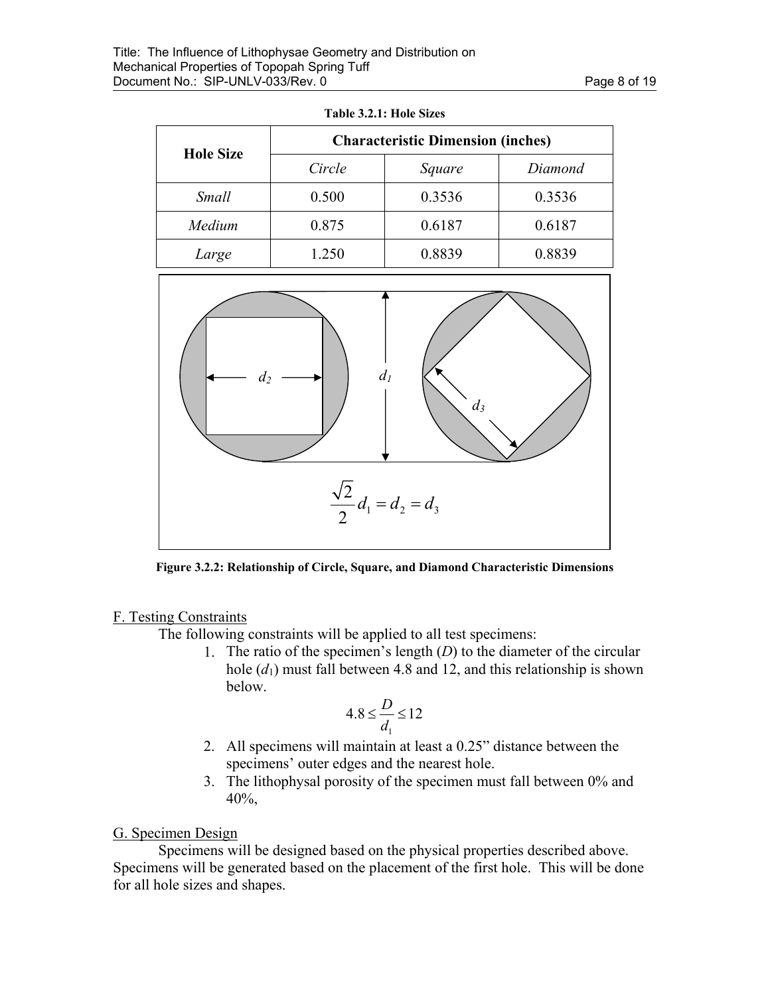| <b>Hole Size</b> | <b>Characteristic Dimension (inches)</b> |        |         |  |
|------------------|------------------------------------------|--------|---------|--|
|                  | Circle                                   | Square | Diamond |  |
| Small            | 0.500                                    | 0.3536 | 0.3536  |  |
| Medium           | 0.875                                    | 0.6187 | 0.6187  |  |
| Large            | 1.250                                    | 0.8839 | 0.8839  |  |





**Figure 3.2.2: Relationship of Circle, Square, and Diamond Characteristic Dimensions** 

## F. Testing Constraints

The following constraints will be applied to all test specimens:

1. The ratio of the specimen's length (*D*) to the diameter of the circular hole  $(d_1)$  must fall between 4.8 and 12, and this relationship is shown below.

$$
4.8 \leq \frac{D}{d_1} \leq 12
$$

- 2. All specimens will maintain at least a 0.25" distance between the specimens' outer edges and the nearest hole.
- 3. The lithophysal porosity of the specimen must fall between 0% and 40%,

# G. Specimen Design

Specimens will be designed based on the physical properties described above. Specimens will be generated based on the placement of the first hole. This will be done for all hole sizes and shapes.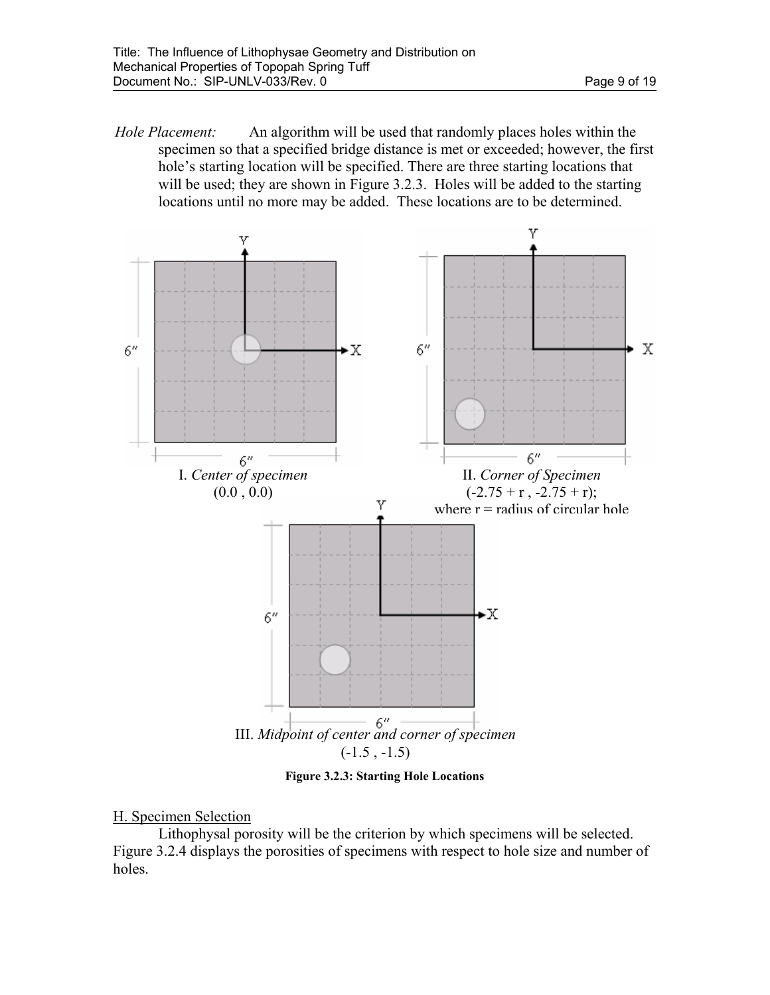*Hole Placement:* An algorithm will be used that randomly places holes within the specimen so that a specified bridge distance is met or exceeded; however, the first hole's starting location will be specified. There are three starting locations that will be used; they are shown in Figure 3.2.3. Holes will be added to the starting locations until no more may be added. These locations are to be determined.



**Figure 3.2.3: Starting Hole Locations** 

#### H. Specimen Selection

 Lithophysal porosity will be the criterion by which specimens will be selected. Figure 3.2.4 displays the porosities of specimens with respect to hole size and number of holes.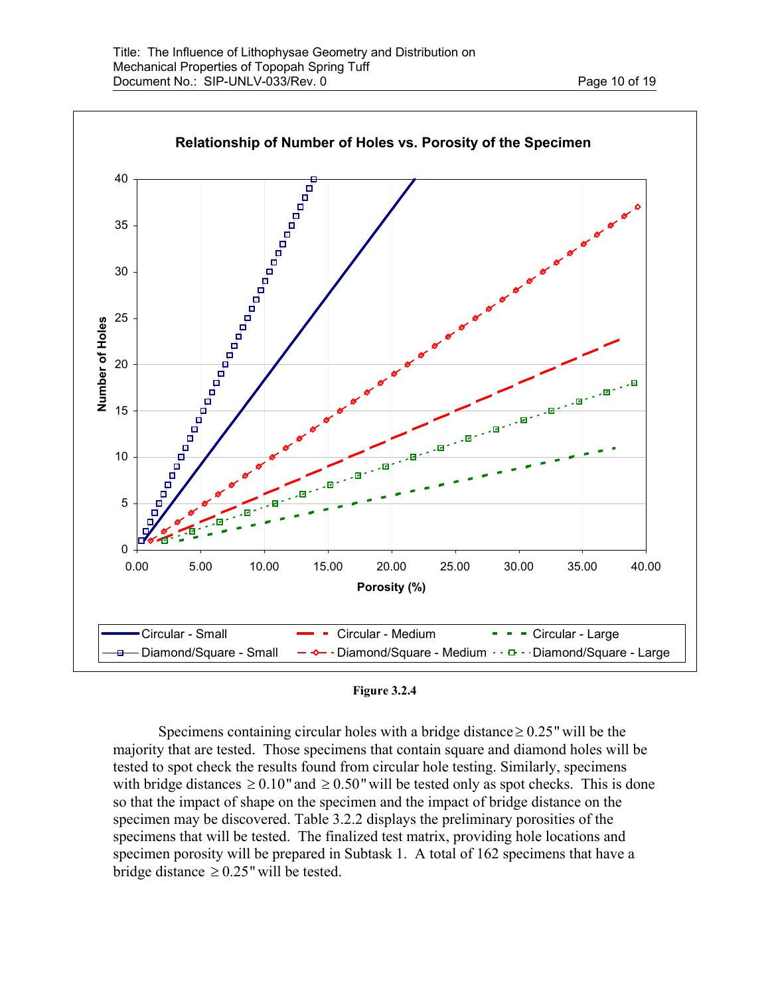

| Figure 3.2.4 |  |
|--------------|--|
|--------------|--|

Specimens containing circular holes with a bridge distance  $\geq 0.25$ " will be the majority that are tested. Those specimens that contain square and diamond holes will be tested to spot check the results found from circular hole testing. Similarly, specimens with bridge distances  $\geq 0.10$ " and  $\geq 0.50$ " will be tested only as spot checks. This is done so that the impact of shape on the specimen and the impact of bridge distance on the specimen may be discovered. Table 3.2.2 displays the preliminary porosities of the specimens that will be tested. The finalized test matrix, providing hole locations and specimen porosity will be prepared in Subtask 1. A total of 162 specimens that have a bridge distance ≥ 0.25" will be tested.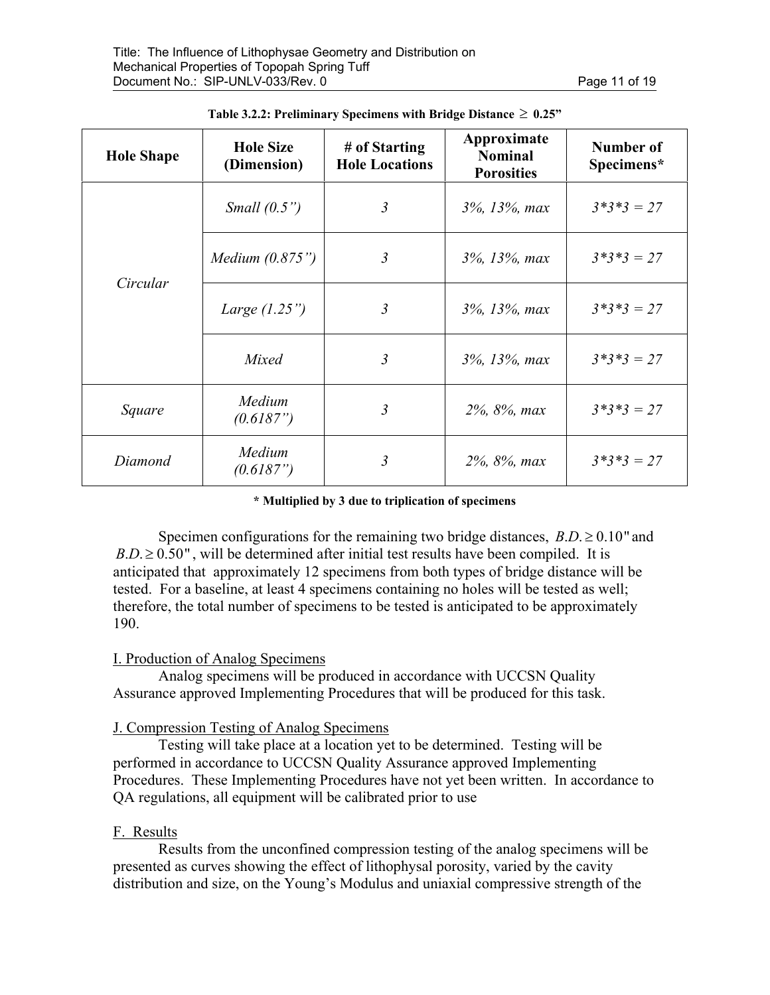| <b>Hole Shape</b> | <b>Hole Size</b><br>(Dimension) | # of Starting<br><b>Hole Locations</b> | Approximate<br><b>Nominal</b><br><b>Porosities</b> | Number of<br>Specimens* |
|-------------------|---------------------------------|----------------------------------------|----------------------------------------------------|-------------------------|
|                   | Small (0.5")                    | $\mathfrak{Z}$                         | 3%, 13%, max                                       | $3*3*3 = 27$            |
| Circular          | <i>Medium</i> $(0.875")$        | 3                                      | 3%, 13%, max                                       | $3*3*3 = 27$            |
|                   | Large $(1.25")$                 | 3                                      | 3%, 13%, max                                       | $3*3*3 = 27$            |
|                   | Mixed                           | $\mathfrak{Z}$                         | 3%, 13%, max                                       | $3*3*3 = 27$            |
| Square            | Medium<br>(0.6187")             | 3                                      | 2%, 8%, max                                        | $3*3*3 = 27$            |
| Diamond           | Medium<br>(0.6187")             | 3                                      | 2%, 8%, max                                        | $3*3*3 = 27$            |

| Table 3.2.2: Preliminary Specimens with Bridge Distance $\geq 0.25$ " |  |  |  |
|-----------------------------------------------------------------------|--|--|--|
|                                                                       |  |  |  |

#### **\* Multiplied by 3 due to triplication of specimens**

Specimen configurations for the remaining two bridge distances,  $B.D. \ge 0.10$ " and  $B.D. \geq 0.50$ ", will be determined after initial test results have been compiled. It is anticipated that approximately 12 specimens from both types of bridge distance will be tested. For a baseline, at least 4 specimens containing no holes will be tested as well; therefore, the total number of specimens to be tested is anticipated to be approximately 190.

#### I. Production of Analog Specimens

Analog specimens will be produced in accordance with UCCSN Quality Assurance approved Implementing Procedures that will be produced for this task.

## J. Compression Testing of Analog Specimens

Testing will take place at a location yet to be determined. Testing will be performed in accordance to UCCSN Quality Assurance approved Implementing Procedures. These Implementing Procedures have not yet been written. In accordance to QA regulations, all equipment will be calibrated prior to use

## F. Results

 Results from the unconfined compression testing of the analog specimens will be presented as curves showing the effect of lithophysal porosity, varied by the cavity distribution and size, on the Young's Modulus and uniaxial compressive strength of the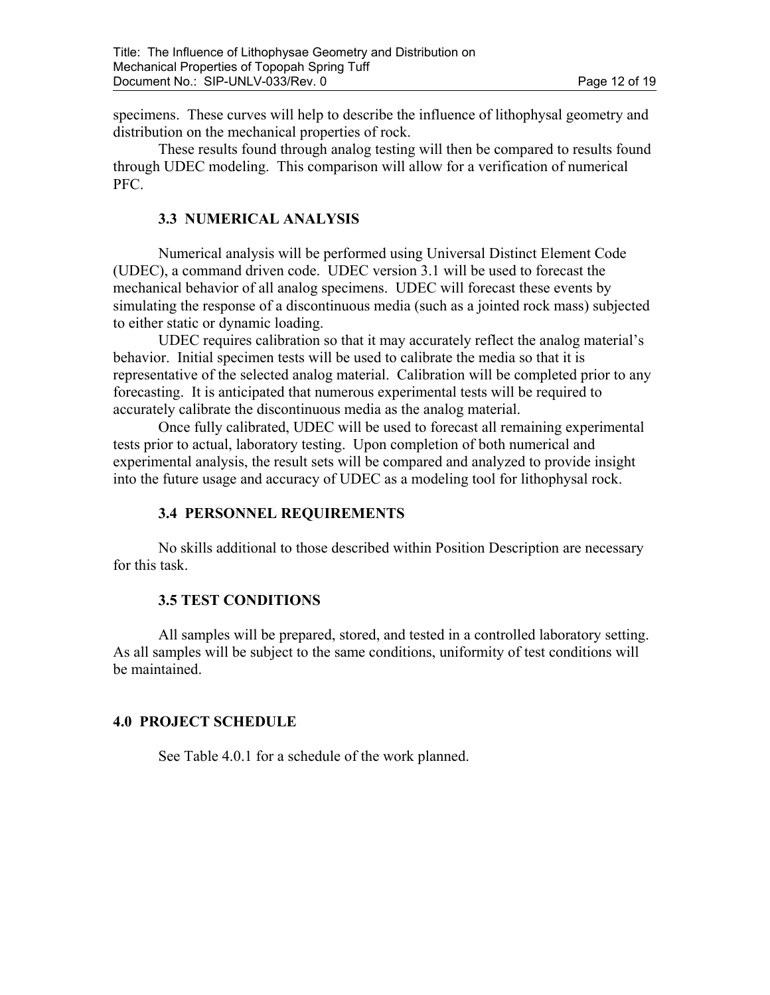specimens. These curves will help to describe the influence of lithophysal geometry and distribution on the mechanical properties of rock.

These results found through analog testing will then be compared to results found through UDEC modeling. This comparison will allow for a verification of numerical PFC.

## **3.3 NUMERICAL ANALYSIS**

Numerical analysis will be performed using Universal Distinct Element Code (UDEC), a command driven code. UDEC version 3.1 will be used to forecast the mechanical behavior of all analog specimens. UDEC will forecast these events by simulating the response of a discontinuous media (such as a jointed rock mass) subjected to either static or dynamic loading.

UDEC requires calibration so that it may accurately reflect the analog material's behavior. Initial specimen tests will be used to calibrate the media so that it is representative of the selected analog material. Calibration will be completed prior to any forecasting. It is anticipated that numerous experimental tests will be required to accurately calibrate the discontinuous media as the analog material.

Once fully calibrated, UDEC will be used to forecast all remaining experimental tests prior to actual, laboratory testing. Upon completion of both numerical and experimental analysis, the result sets will be compared and analyzed to provide insight into the future usage and accuracy of UDEC as a modeling tool for lithophysal rock.

# **3.4 PERSONNEL REQUIREMENTS**

No skills additional to those described within Position Description are necessary for this task.

## **3.5 TEST CONDITIONS**

All samples will be prepared, stored, and tested in a controlled laboratory setting. As all samples will be subject to the same conditions, uniformity of test conditions will be maintained.

# **4.0 PROJECT SCHEDULE**

See Table 4.0.1 for a schedule of the work planned.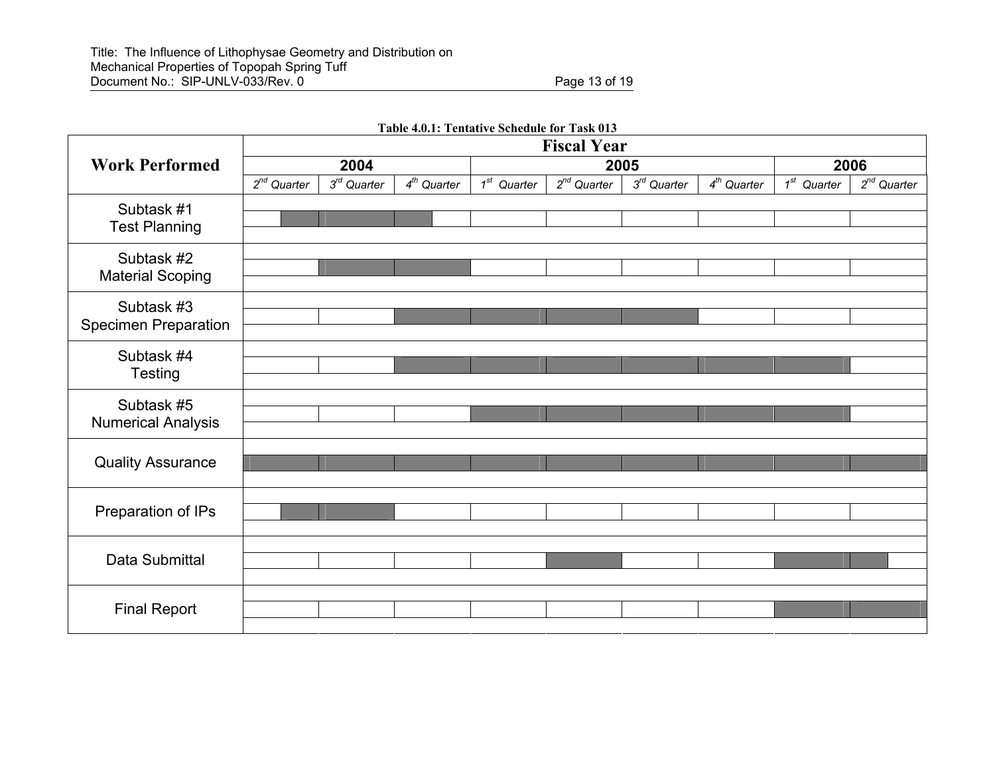Final Report

**Fiscal Year Work Performed 2004 2005 2006** *<sup>2</sup>nd Quarter 3rd Quarter 4th Quarter 1st Quarter 2nd Quarter 3rd Quarter 4th Quarter 1st Quarter 2nd Quarter*  Subtask #1 Test Planning Subtask #2 Material Scoping Subtask #3 Specimen Preparation Subtask #4 **Testing** Subtask #5 Numerical Analysis Quality Assurance Preparation of IPs Data Submittal

**Table 4.0.1: Tentative Schedule for Task 013**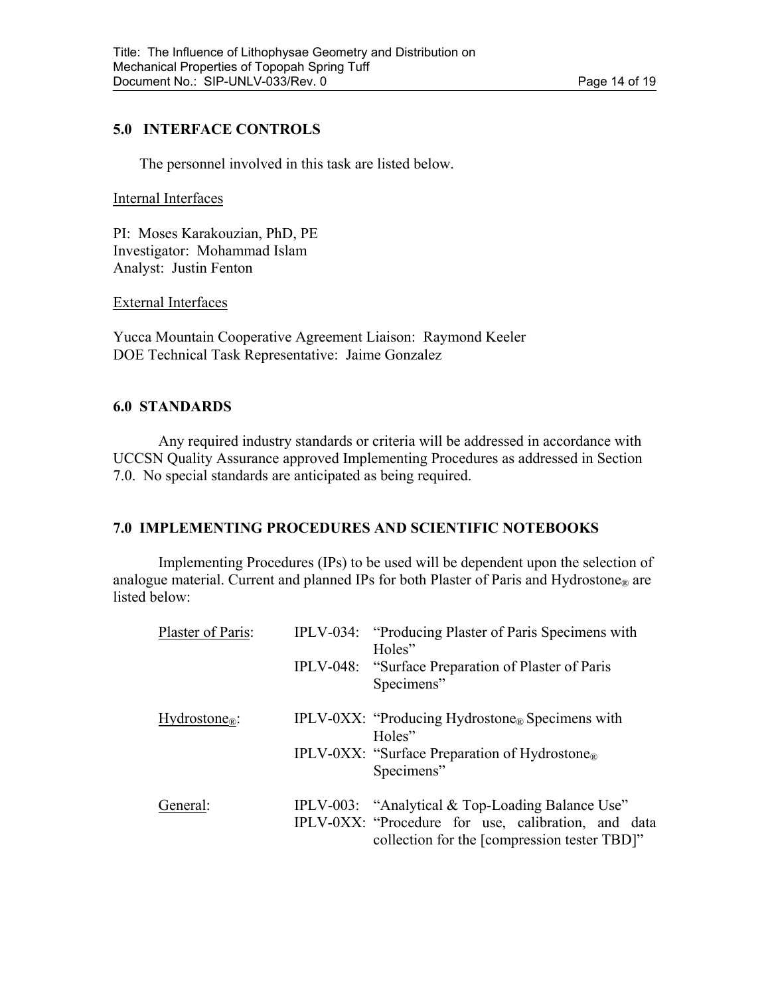## **5.0 INTERFACE CONTROLS**

The personnel involved in this task are listed below.

#### Internal Interfaces

PI: Moses Karakouzian, PhD, PE Investigator: Mohammad Islam Analyst: Justin Fenton

External Interfaces

Yucca Mountain Cooperative Agreement Liaison: Raymond Keeler DOE Technical Task Representative: Jaime Gonzalez

## **6.0 STANDARDS**

 Any required industry standards or criteria will be addressed in accordance with UCCSN Quality Assurance approved Implementing Procedures as addressed in Section 7.0. No special standards are anticipated as being required.

# **7.0 IMPLEMENTING PROCEDURES AND SCIENTIFIC NOTEBOOKS**

Implementing Procedures (IPs) to be used will be dependent upon the selection of analogue material. Current and planned IPs for both Plaster of Paris and Hydrostone® are listed below:

| Plaster of Paris:           | IPLV-034: "Producing Plaster of Paris Specimens with<br>Holes"                                      |
|-----------------------------|-----------------------------------------------------------------------------------------------------|
|                             | IPLV-048: "Surface Preparation of Plaster of Paris"<br>Specimens"                                   |
| $Hydrostone_{\mathbb{R}}$ : | <b>IPLV-0XX:</b> "Producing Hydrostone <sub>®</sub> Specimens with<br>Holes"                        |
|                             | IPLV-0XX: "Surface Preparation of Hydrostone <sub>®</sub><br>Specimens"                             |
| General:                    | IPLV-003: "Analytical & Top-Loading Balance Use"                                                    |
|                             | IPLV-0XX: "Procedure for use, calibration, and data<br>collection for the [compression tester TBD]" |
|                             |                                                                                                     |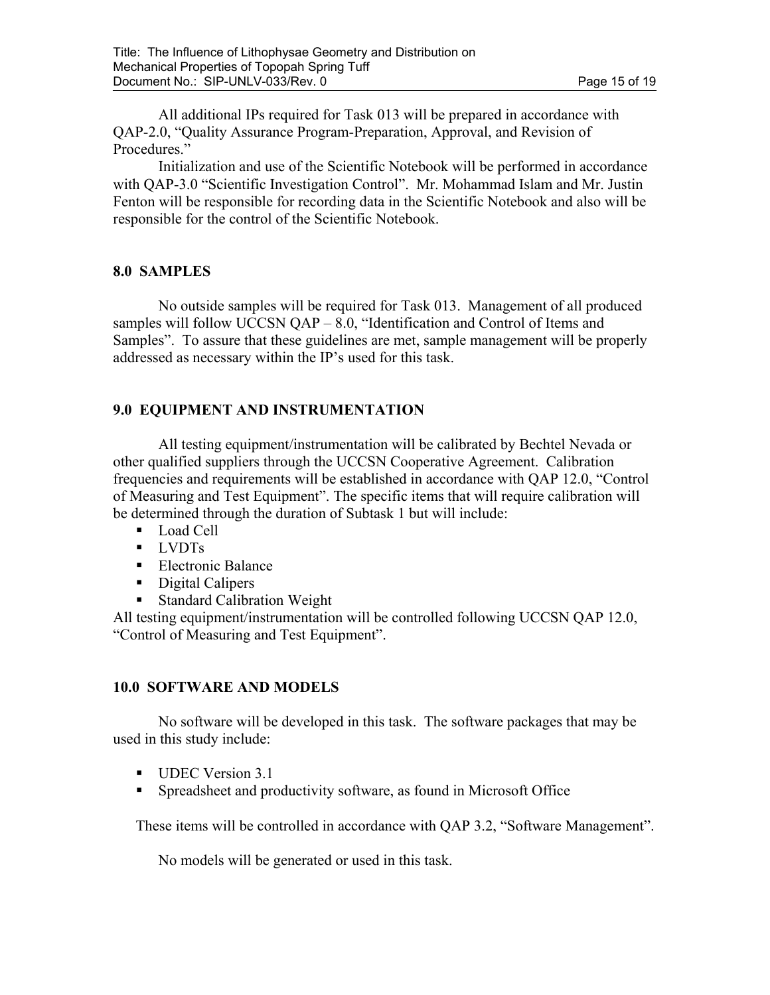All additional IPs required for Task 013 will be prepared in accordance with QAP-2.0, "Quality Assurance Program-Preparation, Approval, and Revision of Procedures."

Initialization and use of the Scientific Notebook will be performed in accordance with QAP-3.0 "Scientific Investigation Control". Mr. Mohammad Islam and Mr. Justin Fenton will be responsible for recording data in the Scientific Notebook and also will be responsible for the control of the Scientific Notebook.

## **8.0 SAMPLES**

 No outside samples will be required for Task 013. Management of all produced samples will follow UCCSN QAP – 8.0, "Identification and Control of Items and Samples". To assure that these guidelines are met, sample management will be properly addressed as necessary within the IP's used for this task.

# **9.0 EQUIPMENT AND INSTRUMENTATION**

 All testing equipment/instrumentation will be calibrated by Bechtel Nevada or other qualified suppliers through the UCCSN Cooperative Agreement. Calibration frequencies and requirements will be established in accordance with QAP 12.0, "Control of Measuring and Test Equipment". The specific items that will require calibration will be determined through the duration of Subtask 1 but will include:

- Load Cell
- **I** LVDTs
- **Electronic Balance**
- Digital Calipers
- Standard Calibration Weight

All testing equipment/instrumentation will be controlled following UCCSN QAP 12.0, "Control of Measuring and Test Equipment".

## **10.0 SOFTWARE AND MODELS**

No software will be developed in this task. The software packages that may be used in this study include:

- UDEC Version 3.1
- Spreadsheet and productivity software, as found in Microsoft Office

These items will be controlled in accordance with QAP 3.2, "Software Management".

No models will be generated or used in this task.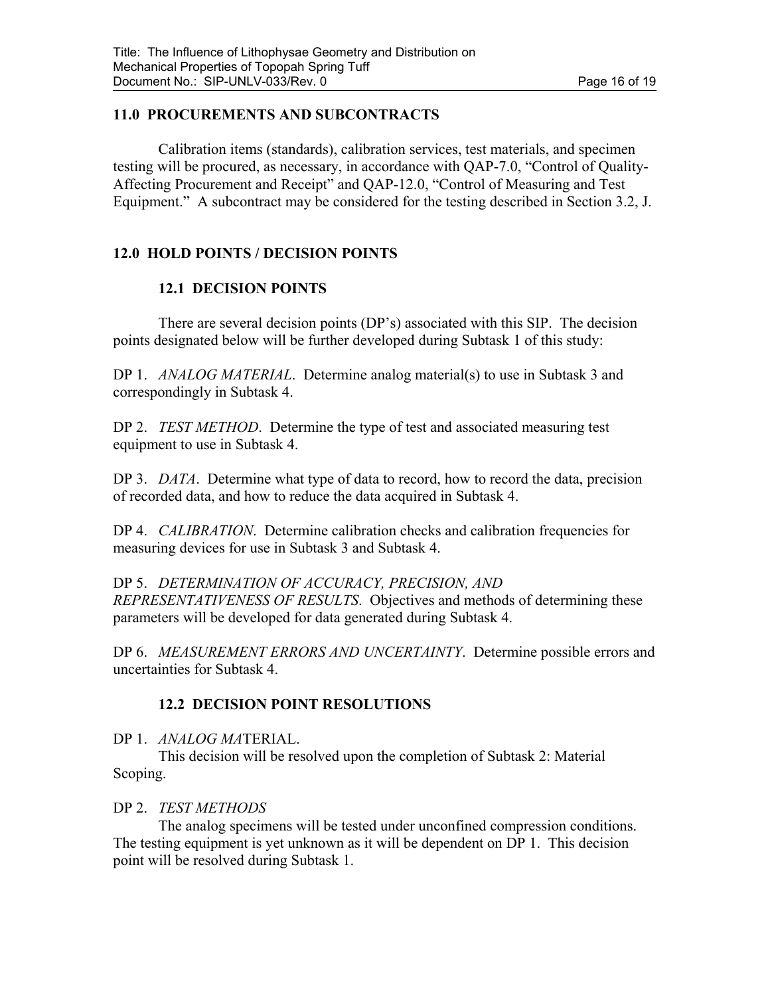# **11.0 PROCUREMENTS AND SUBCONTRACTS**

Calibration items (standards), calibration services, test materials, and specimen testing will be procured, as necessary, in accordance with QAP-7.0, "Control of Quality-Affecting Procurement and Receipt" and QAP-12.0, "Control of Measuring and Test Equipment." A subcontract may be considered for the testing described in Section 3.2, J.

# **12.0 HOLD POINTS / DECISION POINTS**

# **12.1 DECISION POINTS**

There are several decision points (DP's) associated with this SIP. The decision points designated below will be further developed during Subtask 1 of this study:

DP 1. *ANALOG MATERIAL*. Determine analog material(s) to use in Subtask 3 and correspondingly in Subtask 4.

DP 2. *TEST METHOD*. Determine the type of test and associated measuring test equipment to use in Subtask 4.

DP 3. *DATA*. Determine what type of data to record, how to record the data, precision of recorded data, and how to reduce the data acquired in Subtask 4.

DP 4. *CALIBRATION*. Determine calibration checks and calibration frequencies for measuring devices for use in Subtask 3 and Subtask 4.

DP 5. *DETERMINATION OF ACCURACY, PRECISION, AND REPRESENTATIVENESS OF RESULTS*. Objectives and methods of determining these parameters will be developed for data generated during Subtask 4.

DP 6. *MEASUREMENT ERRORS AND UNCERTAINTY*. Determine possible errors and uncertainties for Subtask 4.

# **12.2 DECISION POINT RESOLUTIONS**

DP 1. *ANALOG MA*TERIAL.

 This decision will be resolved upon the completion of Subtask 2: Material Scoping.

# DP 2. *TEST METHODS*

 The analog specimens will be tested under unconfined compression conditions. The testing equipment is yet unknown as it will be dependent on DP 1. This decision point will be resolved during Subtask 1.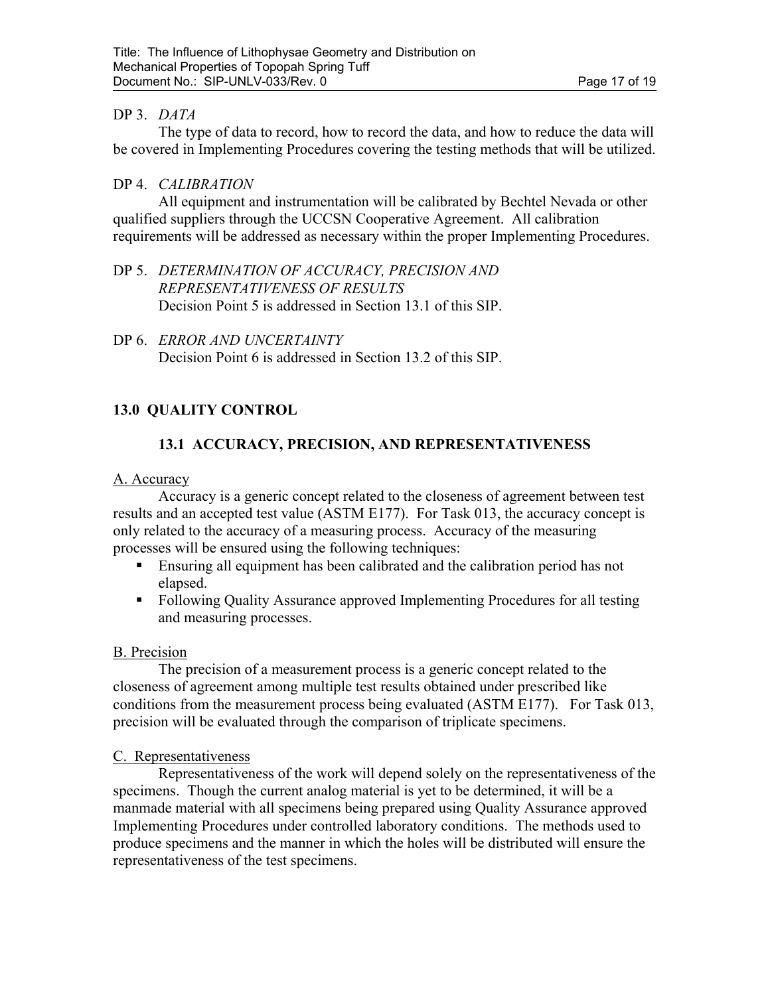## DP 3. *DATA*

 The type of data to record, how to record the data, and how to reduce the data will be covered in Implementing Procedures covering the testing methods that will be utilized.

## DP 4. *CALIBRATION*

 All equipment and instrumentation will be calibrated by Bechtel Nevada or other qualified suppliers through the UCCSN Cooperative Agreement. All calibration requirements will be addressed as necessary within the proper Implementing Procedures.

DP 5. *DETERMINATION OF ACCURACY, PRECISION AND REPRESENTATIVENESS OF RESULTS*  Decision Point 5 is addressed in Section 13.1 of this SIP.

DP 6. *ERROR AND UNCERTAINTY* Decision Point 6 is addressed in Section 13.2 of this SIP.

# **13.0 QUALITY CONTROL**

# **13.1 ACCURACY, PRECISION, AND REPRESENTATIVENESS**

#### A. Accuracy

 Accuracy is a generic concept related to the closeness of agreement between test results and an accepted test value (ASTM E177). For Task 013, the accuracy concept is only related to the accuracy of a measuring process. Accuracy of the measuring processes will be ensured using the following techniques:

- Ensuring all equipment has been calibrated and the calibration period has not elapsed.
- Following Quality Assurance approved Implementing Procedures for all testing and measuring processes.

## B. Precision

 The precision of a measurement process is a generic concept related to the closeness of agreement among multiple test results obtained under prescribed like conditions from the measurement process being evaluated (ASTM E177). For Task 013, precision will be evaluated through the comparison of triplicate specimens.

## C. Representativeness

 Representativeness of the work will depend solely on the representativeness of the specimens. Though the current analog material is yet to be determined, it will be a manmade material with all specimens being prepared using Quality Assurance approved Implementing Procedures under controlled laboratory conditions. The methods used to produce specimens and the manner in which the holes will be distributed will ensure the representativeness of the test specimens.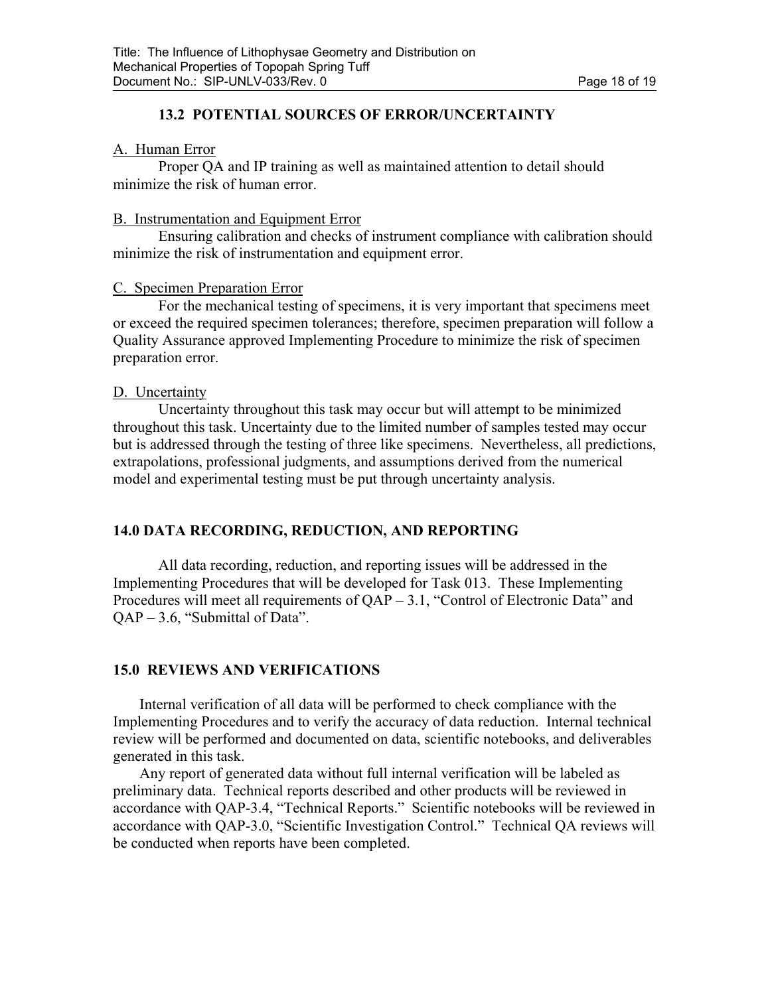## **13.2 POTENTIAL SOURCES OF ERROR/UNCERTAINTY**

#### A. Human Error

 Proper QA and IP training as well as maintained attention to detail should minimize the risk of human error.

#### B. Instrumentation and Equipment Error

 Ensuring calibration and checks of instrument compliance with calibration should minimize the risk of instrumentation and equipment error.

#### C. Specimen Preparation Error

 For the mechanical testing of specimens, it is very important that specimens meet or exceed the required specimen tolerances; therefore, specimen preparation will follow a Quality Assurance approved Implementing Procedure to minimize the risk of specimen preparation error.

#### D. Uncertainty

 Uncertainty throughout this task may occur but will attempt to be minimized throughout this task. Uncertainty due to the limited number of samples tested may occur but is addressed through the testing of three like specimens. Nevertheless, all predictions, extrapolations, professional judgments, and assumptions derived from the numerical model and experimental testing must be put through uncertainty analysis.

## **14.0 DATA RECORDING, REDUCTION, AND REPORTING**

All data recording, reduction, and reporting issues will be addressed in the Implementing Procedures that will be developed for Task 013. These Implementing Procedures will meet all requirements of QAP – 3.1, "Control of Electronic Data" and QAP – 3.6, "Submittal of Data".

## **15.0 REVIEWS AND VERIFICATIONS**

Internal verification of all data will be performed to check compliance with the Implementing Procedures and to verify the accuracy of data reduction. Internal technical review will be performed and documented on data, scientific notebooks, and deliverables generated in this task.

Any report of generated data without full internal verification will be labeled as preliminary data. Technical reports described and other products will be reviewed in accordance with QAP-3.4, "Technical Reports." Scientific notebooks will be reviewed in accordance with QAP-3.0, "Scientific Investigation Control." Technical QA reviews will be conducted when reports have been completed.